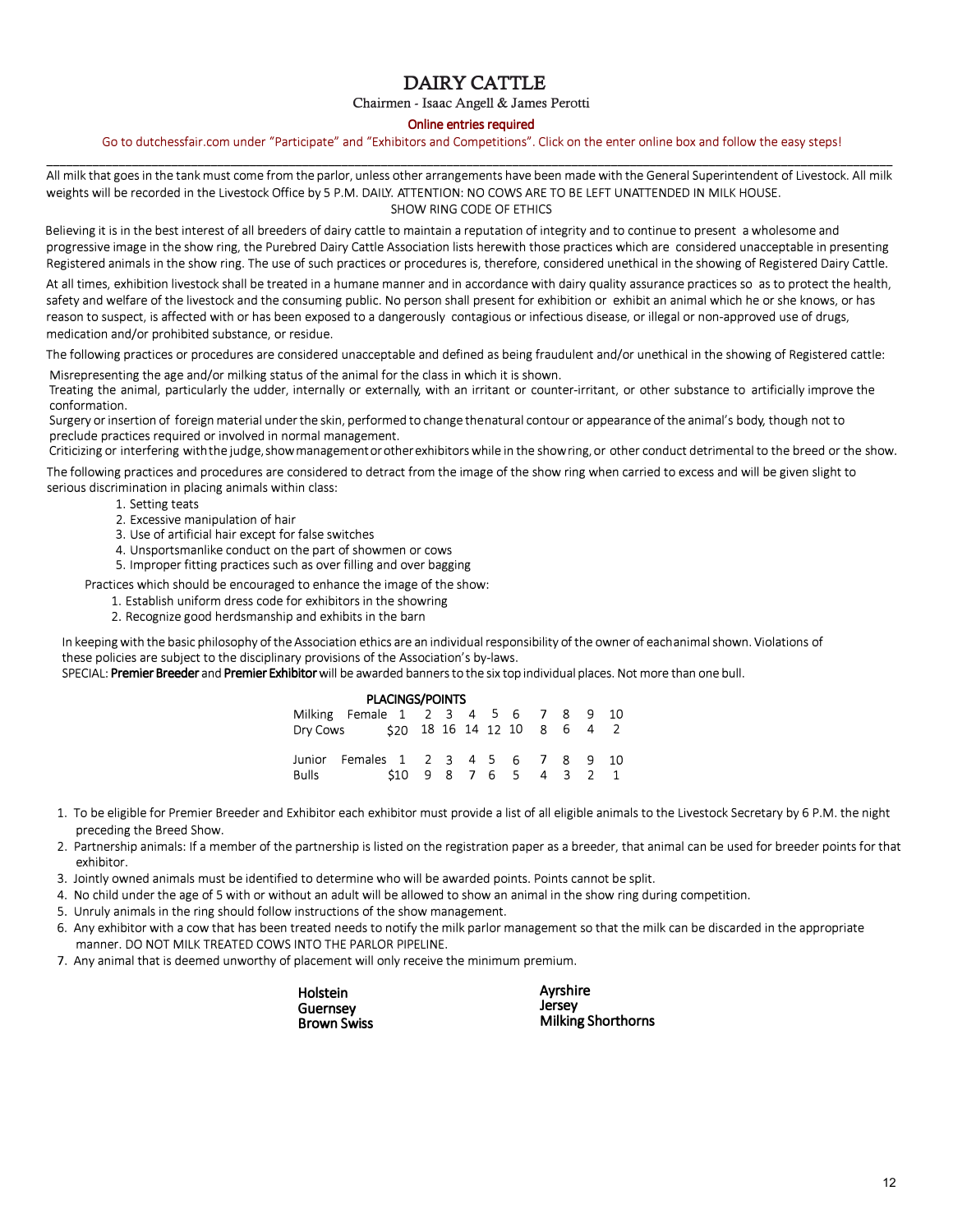# DAIRY CATTLE

**Chairmen - Isaac Angell & James Perotti** 

#### **Online entries required**

Go to dutchessfair.com under "Participate" and "Exhibitors and Competitions". Click on the enter online box and follow the easy steps! \_\_\_\_\_\_\_\_\_\_\_\_\_\_\_\_\_\_\_\_\_\_\_\_\_\_\_\_\_\_\_\_\_\_\_\_\_\_\_\_\_\_\_\_\_\_\_\_\_\_\_\_\_\_\_\_\_\_\_\_\_\_\_\_\_\_\_\_\_\_\_\_\_\_\_\_\_\_\_\_\_\_\_\_\_\_\_\_\_\_\_\_\_\_\_\_\_\_\_\_\_\_\_\_\_\_\_\_\_\_\_\_\_\_\_\_\_\_\_\_\_\_\_\_\_\_\_\_\_

All milk that goes in the tank must come from the parlor, unless other arrangements have been made with the General Superintendent of Livestock. All milk weights will be recorded in the Livestock Office by 5 P.M. DAILY. ATTENTION: NO COWS ARE TO BE LEFT UNATTENDED IN MILK HOUSE. SHOW RING CODE OF ETHICS

Believing it is in the best interest of all breeders of dairy cattle to maintain a reputation of integrity and to continue to present a wholesome and progressive image in the show ring, the Purebred Dairy Cattle Association lists herewith those practices which are considered unacceptable in presenting Registered animals in the show ring. The use of such practices or procedures is, therefore, considered unethical in the showing of Registered Dairy Cattle.

At all times, exhibition livestock shall be treated in a humane manner and in accordance with dairy quality assurance practices so as to protect the health, safety and welfare of the livestock and the consuming public. No person shall present for exhibition or exhibit an animal which he or she knows, or has reason to suspect, is affected with or has been exposed to a dangerously contagious or infectious disease, or illegal or non-approved use of drugs, medication and/or prohibited substance, or residue.

The following practices or procedures are considered unacceptable and defined as being fraudulent and/or unethical in the showing of Registered cattle:

Misrepresenting the age and/or milking status of the animal for the class in which it is shown.

Treating the animal, particularly the udder, internally or externally, with an irritant or counter-irritant, or other substance to artificially improve the conformation.

Surgery or insertion of foreign material under the skin, performed to change the natural contour or appearance of the animal's body, though not to preclude practices required or involved in normal management.

Criticizing or interfering withthe judge, show management or other exhibitors while in the show ring, or other conduct detrimental to the breed or the show.

The following practices and procedures are considered to detract from the image of the show ring when carried to excess and will be given slight to serious discrimination in placing animals within class:

- 1. Setting teats
- 2. Excessive manipulation of hair
- 3. Use of artificial hair except for false switches
- 4. Unsportsmanlike conduct on the part of showmen or cows
- 5. Improper fitting practices such as over filling and over bagging

Practices which should be encouraged to enhance the image of the show:

- 1. Establish uniform dress code for exhibitors in the showring
- 2. Recognize good herdsmanship and exhibits in the barn

In keeping with the basic philosophy of the Association ethics are an individual responsibility of the owner of each animal shown. Violations of these policies are subject to the disciplinary provisions of the Association's by-laws.

SPECIAL: **Premier Breeder** and **Premier Exhibitor** will be awarded banners to the six top individual places. Not more than one bull.

|       |                                      | <b>PLACINGS/POINTS</b>                |  |  |  |  |   |
|-------|--------------------------------------|---------------------------------------|--|--|--|--|---|
|       | Milking Female 1 2 3 4 5 6 7 8 9 10  |                                       |  |  |  |  |   |
|       | Dry Cows \$20 18 16 14 12 10 8 6 4 2 |                                       |  |  |  |  |   |
|       | Junior Females 1 2 3 4 5 6 7 8 9 10  |                                       |  |  |  |  |   |
| Bulls |                                      | $$10 \t9 \t8 \t7 \t6 \t5 \t4 \t3 \t2$ |  |  |  |  | 1 |

- 1. To be eligible for Premier Breeder and Exhibitor each exhibitor must provide a list of all eligible animals to the Livestock Secretary by 6 P.M. the night preceding the Breed Show.
- 2. Partnership animals: If a member of the partnership is listed on the registration paper as a breeder, that animal can be used for breeder points for that exhibitor.
- 3. Jointly owned animals must be identified to determine who will be awarded points. Points cannot be split.
- 4. No child under the age of 5 with or without an adult will be allowed to show an animal in the show ring during competition.
- 5. Unruly animals in the ring should follow instructions of the show management.
- 6. Any exhibitor with a cow that has been treated needs to notify the milk parlor management so that the milk can be discarded in the appropriate manner. DO NOT MILK TREATED COWS INTO THE PARLOR PIPELINE.
- 7. Any animal that is deemed unworthy of placement will only receive the minimum premium.

| Holstein           |  |
|--------------------|--|
| Guernsey           |  |
| <b>Brown Swiss</b> |  |

**Ayrshire Jersey Milking Shorthorns**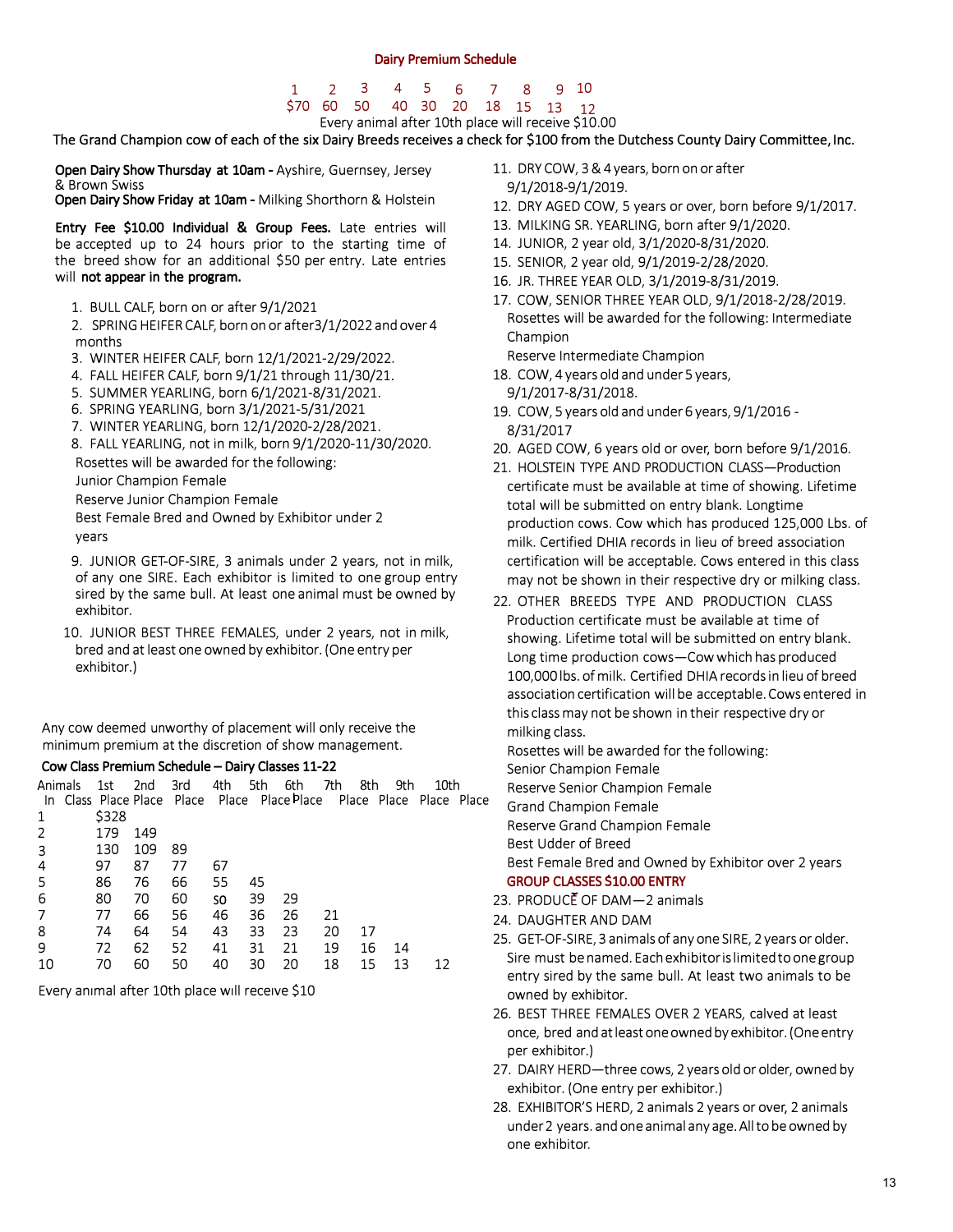### 1 2 3 4 5 6 7 8 9 10 \$70 60 50 40 30 20 18 15 13 12 Every animal after 10th place will receive \$10.00

The Grand Champion cow of each of the six Dairy Breeds receives a check for \$100 from the Dutchess County Dairy Committee, Inc.

**Open Dairy Show Thursday at 10am - Ayshire, Guernsey, Jersey** & Brown Swiss

**Open Dairy Show Friday at 10am - Milking Shorthorn & Holstein** 

**Entry Fee \$10.00 Individual** & **Group Fees.** Late entries will be accepted up to 24 hours prior to the starting time of the breed show for an additional \$50 per entry. Late entries will **not appear in the program.** 

1. BULL CALF, born on or after 9/1/2021

2. SPRING HEIFER CALF, born on or after3/1/2022 and over 4 months

- 3. WINTER HEIFER CALF, born 12/1/2021-2/29/2022.
- 4. FALL HEIFER CALF, born 9/1/21 through 11/30/21.
- 5. SUMMER YEARLING, born 6/1/2021-8/31/2021.
- 6. SPRING YEARLING, born 3/1/2021-5/31/2021
- 7. WINTER YEARLING, born 12/1/2020-2/28/2021.

8. FALL YEARLING, not in milk, born 9/1/2020-11/30/2020.

Rosettes will be awarded for the following:

Junior Champion Female

Reserve Junior Champion Female

Best Female Bred and Owned by Exhibitor under 2 years

- 9. JUNIOR GET-OF-SIRE, 3 animals under 2 years, not in milk, of any one SIRE. Each exhibitor is limited to one group entry sired by the same bull. At least one animal must be owned by exhibitor.
- 10. JUNIOR BEST THREE FEMALES, under 2 years, not in milk, bred and at least one owned by exhibitor. (One entry per exhibitor.)

Any cow deemed unworthy of placement will only receive the minimum premium at the discretion of show management.

### **Cow Class Premium Schedule - Dairy Classes 11-22**

|  |  |  | Animals 1st 2nd 3rd 4th 5th 6th 7th 8th 9th 10th                     |  |  |  |
|--|--|--|----------------------------------------------------------------------|--|--|--|
|  |  |  | In Class Place Place Place Place Place Place Place Place Place Place |  |  |  |
|  |  |  |                                                                      |  |  |  |

| ᅩ              | ە∠دڊ |       |    |     |    |    |    |    |    |    |
|----------------|------|-------|----|-----|----|----|----|----|----|----|
| 2              | 179  | - 149 |    |     |    |    |    |    |    |    |
| 3              | 130  | 109   | 89 |     |    |    |    |    |    |    |
| 4              | 97   | 87    | 77 | 67  |    |    |    |    |    |    |
| 5              | 86   | 76    | 66 | 55  | 45 |    |    |    |    |    |
| 6              | 80   | 70    | 60 | SO. | 39 | 29 |    |    |    |    |
| $\overline{7}$ | 77   | 66    | 56 | 46  | 36 | 26 | 21 |    |    |    |
| 8              | 74   | 64    | 54 | 43  | 33 | 23 | 20 | 17 |    |    |
| 9              | 72   | 62    | 52 | 41  | 31 | 21 | 19 | 16 | 14 |    |
| 10             | 70   | 60    | 50 | 40  | 30 | 20 | 18 | 15 | 13 | 12 |
|                |      |       |    |     |    |    |    |    |    |    |

Every animal after 10th place will receive \$10

- 11. DRY COW, 3 & 4 years, born on or after 9/1/2018-9/1/2019.
- 12. DRY AGED COW, 5 years or over, born before 9/1/2017.
- 13. MILKING SR. YEARLING, born after 9/1/2020.
- 14. JUNIOR, 2 year old, 3/1/2020-8/31/2020.
- 15. SENIOR, 2 year old, 9/1/2019-2/28/2020.
- 16. JR. THREE YEAR OLD, 3/1/2019-8/31/2019.
- 17. cow, SENIOR THREE YEAR OLD, 9/1/2018-2/28/2019. Rosettes will be awarded for the following: Intermediate Champion

Reserve Intermediate Champion

- 18. COW, 4 years old and under 5 years, 9/1/2017-8/31/2018.
- 19. COW, 5 years old and under 6 years, 9/1/2016 8/31/2017
- 20. AGED COW, 6 years old or over, born before 9/1/2016.
- 21. HOLSTEIN TYPE AND PRODUCTION CLASS-Production certificate must be available at time of showing. Lifetime total will be submitted on entry blank. Longtime production cows. Cow which has produced 125,000 Lbs. of milk. Certified DHIA records in lieu of breed association certification will be acceptable. Cows entered in this class may not be shown in their respective dry or milking class.
- 22. OTHER BREEDS TYPE AND PRODUCTION CLASS Production certificate must be available at time of showing. Lifetime total will be submitted on entry blank. Long time production cows-Cow which has produced 100,000 lbs. of milk. Certified DHIA records in lieu of breed association certification will be acceptable. Cows entered in this class may not be shown in their respective dry or milking class.

Rosettes will be awarded for the following:

Senior Champion Female

Reserve Senior Champion Female

Grand Champion Female

Reserve Grand Champion Female

Best Udder of Breed

Best Female Bred and Owned by Exhibitor over 2 years **GROUP CLASSES �10.00 ENTRY**

- 23. PRODUCE OF DAM-2 animals
- 24. DAUGHTER AND DAM
- 25. GET-OF-SIRE, 3 animals of any one SIRE, 2 years or older. Sire must be named. Each exhibitor is limited to one group entry sired by the same bull. At least two animals to be owned by exhibitor.
- 26. BEST THREE FEMALES OVER 2 YEARS, calved at least once, bred andatleastone owned by exhibitor. (One entry per exhibitor.)
- 27. DAIRY HERD-three cows, 2 years old or older, owned by exhibitor. (One entry per exhibitor.)
- 28. EXHIBITOR'S HERD, 2 animals 2 years or over, 2 animals under2 years. and one animal any age.All to be owned by one exhibitor.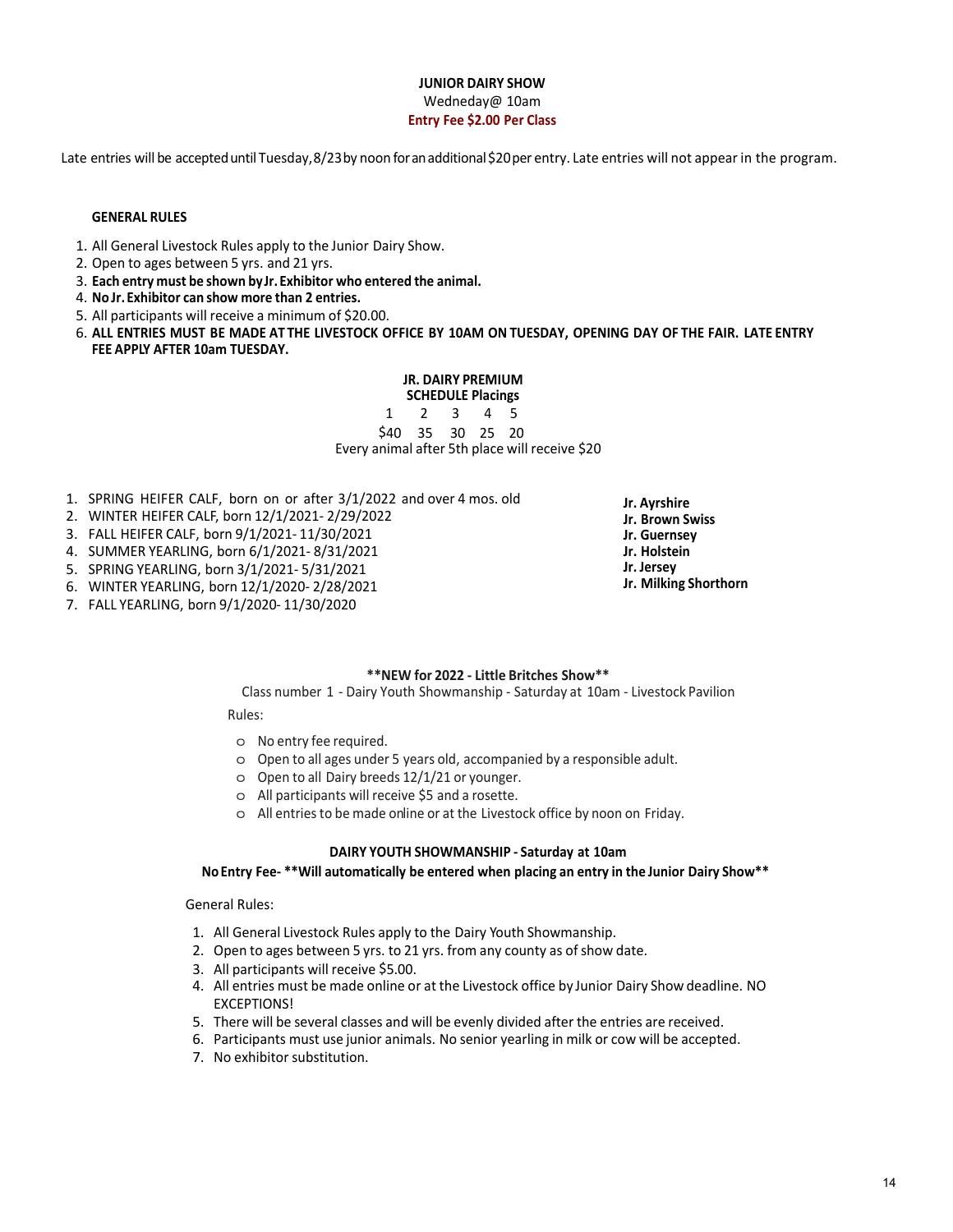## **JUNIOR DAIRY SHOW**  Wedneday@ 10am **Entry Fee \$2.00 Per Class**

Late entries will be accepted until Tuesday, 8/23 by noon for an additional \$20 per entry. Late entries will not appear in the program.

#### **GENERAL RULES**

- 1. All General Livestock Rules apply to the Junior Dairy Show.
- 2. Open to ages between 5 yrs. and 21 yrs.
- 3. **Each entry must be shown by Jr.Exhibitor who entered the animal.**
- 4. **No Jr. Exhibitor can show more than 2 entries.**
- 5. All participants will receive a minimum of \$20.00.
- 6. **ALL ENTRIES MUST BE MADE AT THE LIVESTOCK OFFICE BY 10AM ON TUESDAY, OPENING DAY OF THE FAIR. LATE ENTRY FEE APPLY AFTER 10am TUESDAY.**

#### **JR. DAIRY PREMIUM SCHEDULE Placings**

1 2 3 4 5 \$40 35 30 25 20 Every animal after 5th place will receive \$20

- 1. SPRING HEIFER CALF, born on or after 3/1/2022 and over 4 mos. old
- 2. WINTER HEIFER CALF, born 12/1/2021- 2/29/2022
- 3. FALL HEIFER CALF, born 9/1/2021 11/30/2021
- 4. SUMMER YEARLING, born 6/1/2021- 8/31/2021
- 5. SPRING YEARLING, born 3/1/2021 5/31/2021
- 6. WINTER YEARLING, born 12/1/2020 2/28/2021
- 7. FALL YEARLING, born 9/1/2020 11/30/2020

### **\*\*NEW for 2022 - Little Britches Show\*\***

Class number 1 - Dairy Youth Showmanship - Saturday at 10am - Livestock Pavilion

Rules:

- o No entry fee required.
- o Open to all ages under 5 years old, accompanied by a responsible adult.
- o Open to all Dairy breeds 12/1/21 or younger.
- o All participants will receive \$5 and a rosette.
- o All entries to be made online or at the Livestock office by noon on Friday.

#### **DAIRY YOUTH SHOWMANSHIP - Saturday at 10am**

#### **No Entry Fee- \*\*Will automatically be entered when placing an entry in the Junior Dairy Show\*\***

General Rules:

- 1. All General Livestock Rules apply to the Dairy Youth Showmanship.
- 2. Open to ages between 5 yrs. to 21 yrs. from any county as of show date.
- 3. All participants will receive \$5.00.
- 4. All entries must be made online or at the Livestock office by Junior Dairy Show deadline. NO EXCEPTIONS!
- 5. There will be several classes and will be evenly divided after the entries are received.
- 6. Participants must use junior animals. No senior yearling in milk or cow will be accepted.
- 7. No exhibitor substitution.

**Jr. Ayrshire Jr. Brown Swiss Jr. Guernsey Jr. Holstein Jr. Jersey Jr. Milking Shorthorn**